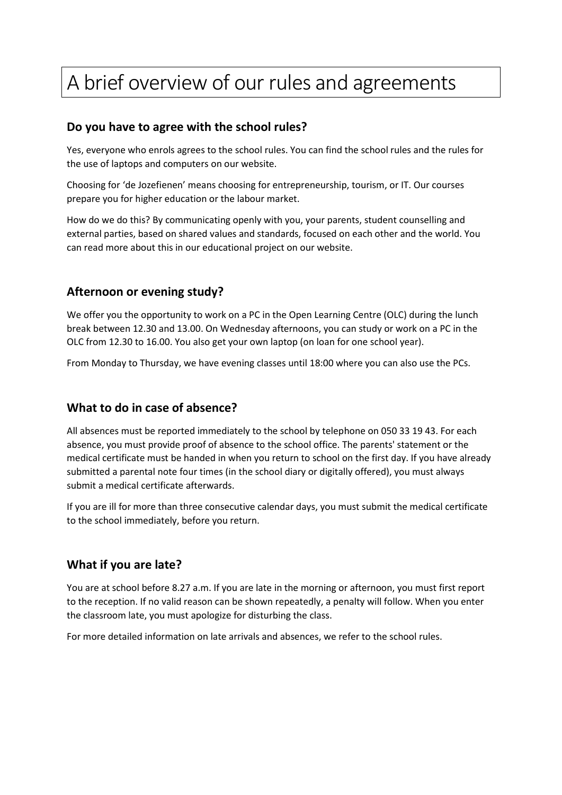# A brief overview of our rules and agreements

## **Do you have to agree with the school rules?**

Yes, everyone who enrols agrees to the school rules. You can find the school rules and the rules for the use of laptops and computers on our website.

Choosing for 'de Jozefienen' means choosing for entrepreneurship, tourism, or IT. Our courses prepare you for higher education or the labour market.

How do we do this? By communicating openly with you, your parents, student counselling and external parties, based on shared values and standards, focused on each other and the world. You can read more about this in our educational project on our website.

## **Afternoon or evening study?**

We offer you the opportunity to work on a PC in the Open Learning Centre (OLC) during the lunch break between 12.30 and 13.00. On Wednesday afternoons, you can study or work on a PC in the OLC from 12.30 to 16.00. You also get your own laptop (on loan for one school year).

From Monday to Thursday, we have evening classes until 18:00 where you can also use the PCs.

#### **What to do in case of absence?**

All absences must be reported immediately to the school by telephone on 050 33 19 43. For each absence, you must provide proof of absence to the school office. The parents' statement or the medical certificate must be handed in when you return to school on the first day. If you have already submitted a parental note four times (in the school diary or digitally offered), you must always submit a medical certificate afterwards.

If you are ill for more than three consecutive calendar days, you must submit the medical certificate to the school immediately, before you return.

#### **What if you are late?**

You are at school before 8.27 a.m. If you are late in the morning or afternoon, you must first report to the reception. If no valid reason can be shown repeatedly, a penalty will follow. When you enter the classroom late, you must apologize for disturbing the class.

For more detailed information on late arrivals and absences, we refer to the school rules.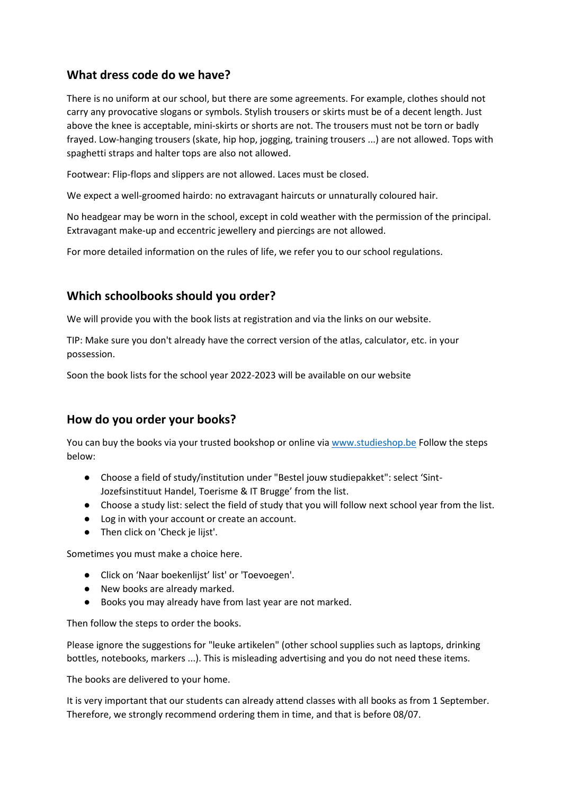## **What dress code do we have?**

There is no uniform at our school, but there are some agreements. For example, clothes should not carry any provocative slogans or symbols. Stylish trousers or skirts must be of a decent length. Just above the knee is acceptable, mini-skirts or shorts are not. The trousers must not be torn or badly frayed. Low-hanging trousers (skate, hip hop, jogging, training trousers ...) are not allowed. Tops with spaghetti straps and halter tops are also not allowed.

Footwear: Flip-flops and slippers are not allowed. Laces must be closed.

We expect a well-groomed hairdo: no extravagant haircuts or unnaturally coloured hair.

No headgear may be worn in the school, except in cold weather with the permission of the principal. Extravagant make-up and eccentric jewellery and piercings are not allowed.

For more detailed information on the rules of life, we refer you to our school regulations.

## **Which schoolbooks should you order?**

We will provide you with the book lists at registration and via the links on our website.

TIP: Make sure you don't already have the correct version of the atlas, calculator, etc. in your possession.

Soon the book lists for the school year 2022-2023 will be available on our website

#### **How do you order your books?**

You can buy the books via your trusted bookshop or online vi[a www.studieshop.be](http://www.studieshop.be/) Follow the steps below:

- Choose a field of study/institution under "Bestel jouw studiepakket": select 'Sint-Jozefsinstituut Handel, Toerisme & IT Brugge' from the list.
- Choose a study list: select the field of study that you will follow next school year from the list.
- Log in with your account or create an account.
- Then click on 'Check je lijst'.

Sometimes you must make a choice here.

- Click on 'Naar boekenlijst' list' or 'Toevoegen'.
- New books are already marked.
- Books you may already have from last year are not marked.

Then follow the steps to order the books.

Please ignore the suggestions for "leuke artikelen" (other school supplies such as laptops, drinking bottles, notebooks, markers ...). This is misleading advertising and you do not need these items.

The books are delivered to your home.

It is very important that our students can already attend classes with all books as from 1 September. Therefore, we strongly recommend ordering them in time, and that is before 08/07.